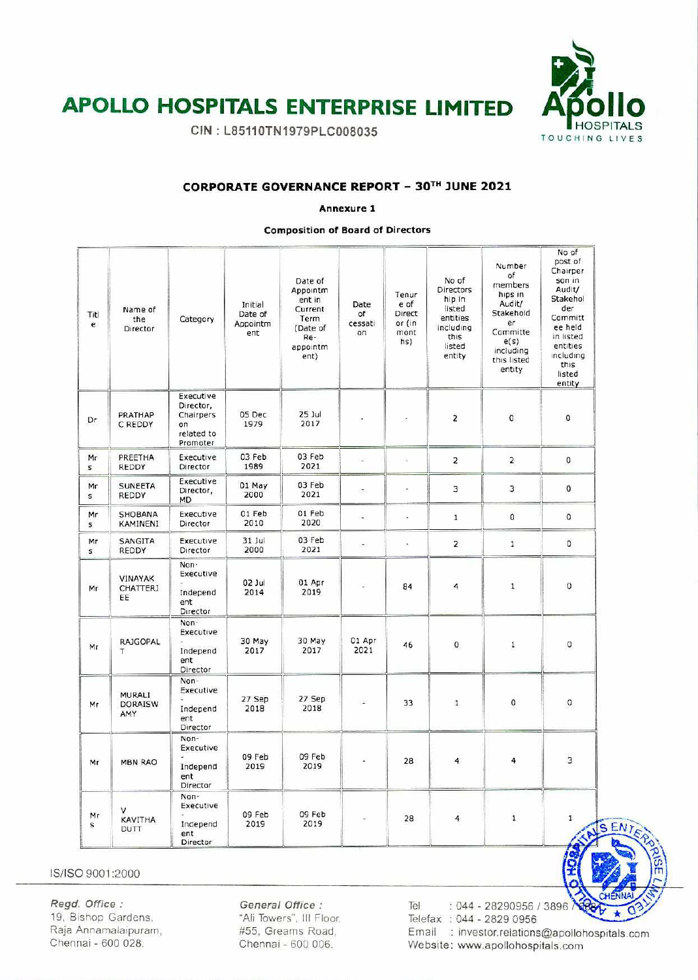

# **APOLLO HOSPITALS ENTERPRISE LIMITED**

CIN: L85110TN1979PLC008035

### CORPORATE GOVERNANCE REPORT - 30TH JUNE 2021

Annexure 1

**Composition of Board of Directors** 

| Titl<br>e          | Name of<br>the<br>Director             | Category                                                            | Initial<br>Date of<br>Appointm<br>ent | Date of<br>Appointm<br>ent in<br>Current<br>Term<br>(Date of<br>Re-<br>appointm<br>ent) | Date<br>of<br>cessati<br>on | Tenur<br>e of<br>Direct<br>or (in<br>mont<br>hs) | No of<br><b>Directors</b><br>hip in<br>listed<br>entities<br>including<br>this<br>listed<br>entity | Number<br>of<br>members<br>hips in<br>Audit/<br>Stakehold<br>er<br>Committe<br>e(s)<br>including<br>this listed<br>entity | No of<br>post of<br>Chairper<br>son in<br>Audit/<br>Stakehol<br>der<br>Committ<br>ee held<br>in listed<br>entities<br>including<br>this<br>listed<br>entity |
|--------------------|----------------------------------------|---------------------------------------------------------------------|---------------------------------------|-----------------------------------------------------------------------------------------|-----------------------------|--------------------------------------------------|----------------------------------------------------------------------------------------------------|---------------------------------------------------------------------------------------------------------------------------|-------------------------------------------------------------------------------------------------------------------------------------------------------------|
| Dr                 | PRATHAP<br>C REDDY                     | Executive<br>Director,<br>Chairpers<br>on<br>related to<br>Promoter | 05 Dec<br>1979                        | 25 Jul<br>2017                                                                          |                             | ÷                                                | $\overline{2}$                                                                                     | $\circ$                                                                                                                   | $\overline{0}$                                                                                                                                              |
| Mr<br>$\mathsf{s}$ | PREETHA<br><b>REDDY</b>                | Executive<br>Director                                               | 03 Feb<br>1989                        | 03 Feb<br>2021                                                                          | ٤                           | ÷,                                               | $\overline{2}$                                                                                     | $\overline{2}$                                                                                                            | 0                                                                                                                                                           |
| Mr<br>S.           | <b>SUNEETA</b><br>REDDY                | Executive<br>Director,<br>MD                                        | 01 May<br>2000                        | 03 Feb<br>2021                                                                          | ÷                           | i,                                               | 3                                                                                                  | 3                                                                                                                         | 0                                                                                                                                                           |
| Mr<br>$\mathsf{s}$ | SHOBANA<br>KAMINENI                    | Executive<br>Director                                               | 01 Feb<br>2010                        | 01 Feb<br>2020                                                                          | $\overline{\phantom{a}}$    | ×                                                | $\mathbf{1}$                                                                                       | $\mathfrak{o}$                                                                                                            | $\overline{O}$                                                                                                                                              |
| Mr<br>$\mathsf{s}$ | SANGITA<br>REDDY                       | Executive<br>Director                                               | 31 Jul<br>2000                        | 03 Feb<br>2021                                                                          | $\overline{\phantom{a}}$    | à.                                               | $\overline{2}$                                                                                     | $\mathbf{1}$                                                                                                              | $\circ$                                                                                                                                                     |
| Mr                 | <b>VINAYAK</b><br>CHATTERJ<br>EE       | Non-<br>Executive<br>Independ<br>ent<br>Director                    | 02 Jul<br>2014                        | 01 Apr<br>2019                                                                          |                             | 84                                               | 4                                                                                                  | $\mathbf{1}$                                                                                                              | 0                                                                                                                                                           |
| Mr                 | <b>RAJGOPAL</b><br>T.                  | Non-<br>Executive<br>Independ<br>ent<br>Director                    | 30 May<br>2017                        | 30 May<br>2017                                                                          | 01 Apr<br>2021              | 46                                               | 0                                                                                                  | 1                                                                                                                         | 0                                                                                                                                                           |
| Mr                 | <b>MURALI</b><br><b>DORAISW</b><br>AMY | Non-<br>Executive<br>Independ<br>ent<br>Director                    | 27 Sep<br>2018                        | 27 Sep<br>2018                                                                          |                             | 33                                               | $\mathbf{1}$                                                                                       | 0                                                                                                                         | $\mathbf 0$                                                                                                                                                 |
| Mr                 | <b>MBN RAO</b>                         | Non-<br>Executive<br>Independ<br>ent<br>Director                    | 09 Feb<br>2019                        | 09 Feb<br>2019                                                                          |                             | 28                                               | 4                                                                                                  | 4                                                                                                                         | 3                                                                                                                                                           |
| Mr<br>$\mathbf{s}$ | ν<br><b>KAVITHA</b><br><b>DUTT</b>     | Non-<br>Executive<br>Independ<br>ent<br>Director                    | 09 Feb<br>2019                        | 09 Feb<br>2019                                                                          | E.                          | 28                                               | 4                                                                                                  | $\mathbf 1$                                                                                                               | $\mathbf{1}$                                                                                                                                                |

IS/ISO 9001:2000

Regd. Office: 19, Bishop Gardens, Raja Annamalaipuram, Chennai - 600 028.

General Office : "Ali Towers", III Floor, #55, Greams Road, Chennai - 600 006.

 $: 044 - 28290956 / 3896$ Tel Telefax: 044 - 2829 0956 Email : investor.relations@apollohospitals.com Website: www.apollohospitals.com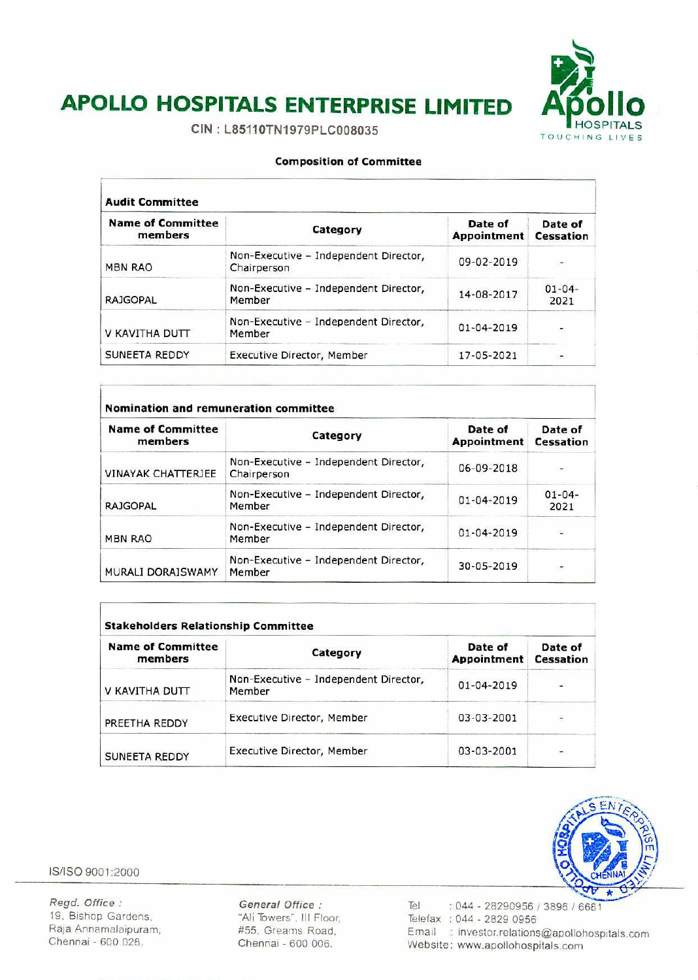

# **APOLLO HOSPITALS ENTERPRISE LIMITED Afollo**

CIN: L85110TN1979PLC008035

#### **Composition of Committee**

| <b>Audit Committee</b>              |                                                      |                        |                      |  |  |
|-------------------------------------|------------------------------------------------------|------------------------|----------------------|--|--|
| <b>Name of Committee</b><br>members | Category                                             | Date of<br>Appointment | Date of<br>Cessation |  |  |
| <b>MBN RAO</b>                      | Non-Executive - Independent Director,<br>Chairperson | 09-02-2019             |                      |  |  |
| <b>RAJGOPAL</b>                     | Non-Executive - Independent Director,<br>Member      | 14-08-2017             | $01 - 04 -$<br>2021  |  |  |
| V KAVITHA DUTT                      | Non-Executive - Independent Director,<br>Member      | $01 - 04 - 2019$       |                      |  |  |
| SUNEETA REDDY                       | Executive Director, Member                           | 17-05-2021             | œ.                   |  |  |

| <b>Name of Committee</b><br>members | Category                                             | Date of<br>Appointment | Date of<br>Cessation |
|-------------------------------------|------------------------------------------------------|------------------------|----------------------|
| <b>VINAYAK CHATTERJEE</b>           | Non-Executive - Independent Director,<br>Chairperson | 06-09-2018             |                      |
| <b>RAJGOPAL</b>                     | Non-Executive - Independent Director,<br>Member      | $01 - 04 - 2019$       | $01 - 04 -$<br>2021  |
| <b>MBN RAO</b>                      | Non-Executive - Independent Director,<br>Member      | $01 - 04 - 2019$       | 92                   |
| MURALI DORAISWAMY                   | Non-Executive - Independent Director,<br>Member      | 30-05-2019             |                      |

| <b>Name of Committee</b><br>members | Category                                        | Date of<br>Appointment | Date of<br><b>Cessation</b> |
|-------------------------------------|-------------------------------------------------|------------------------|-----------------------------|
| V KAVITHA DUTT                      | Non-Executive - Independent Director,<br>Member | 01-04-2019             |                             |
| PREETHA REDDY                       | Executive Director, Member                      | 03-03-2001             |                             |
| <b>SUNEETA REDDY</b>                | Executive Director, Member                      | 03-03-2001             | ÷                           |



IS/ISO 9001 :2000

**Regd. Office:** *General Office:*  19, Bishop Gardens, The Californian Child Towers". Ill Floor.<br>
Raja Annamalaipuram, The #55, Greams Road. Raja Annamalaipuram,  $\begin{array}{r} 455, \text{Greams Road}, \\ \text{Chemnai - 600 028}, \text{Chemnai - 600 006} \end{array}$ 

Chennai - 600 006.

**Tel** 044 - 28290956 / 3896 / 6681 Telefax : 044 - 2829 0956 Email : investor.relations@apollohospitals.com Website: Www.apollohospitals.com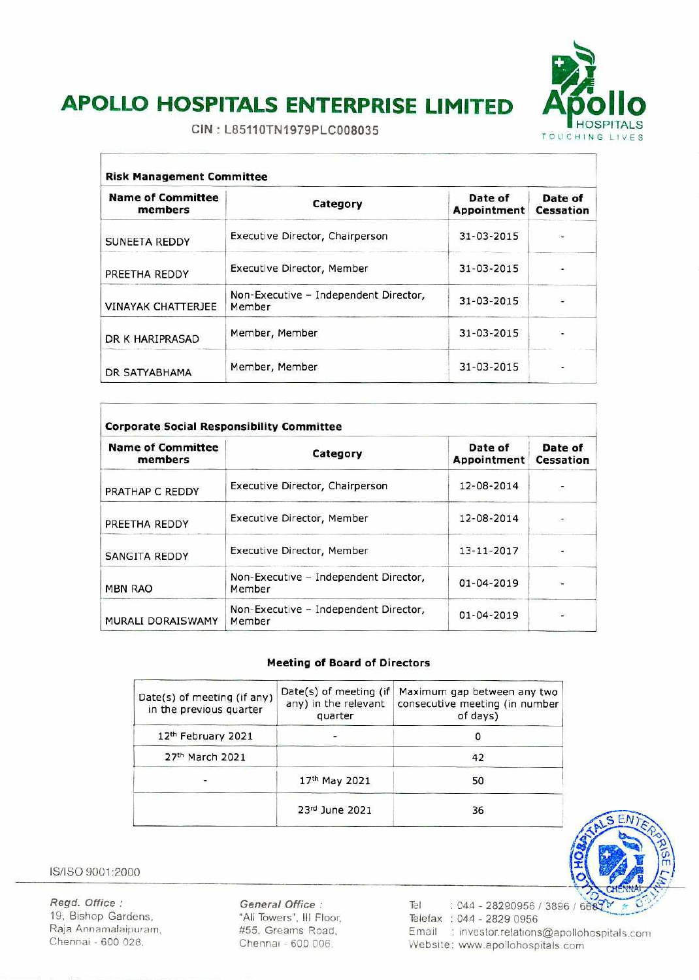

# **APOLLO HOSPITALS ENTERPRISE LIMITED Af5'ollo**

CIN: L85110TN1979PLC008035

| <b>Risk Management Committee</b>    |                                                 |                        |                      |  |
|-------------------------------------|-------------------------------------------------|------------------------|----------------------|--|
| <b>Name of Committee</b><br>members | Category                                        | Date of<br>Appointment | Date of<br>Cessation |  |
| <b>SUNEETA REDDY</b>                | Executive Director, Chairperson                 | 31-03-2015             |                      |  |
| PREETHA REDDY                       | Executive Director, Member                      | 31-03-2015             |                      |  |
| <b>VINAYAK CHATTERJEE</b>           | Non-Executive - Independent Director,<br>Member | 31-03-2015             |                      |  |
| DR K HARIPRASAD                     | Member, Member                                  | 31-03-2015             |                      |  |
| DR SATYABHAMA                       | Member, Member                                  | 31-03-2015             |                      |  |

| <b>Name of Committee</b><br>members | Category                                        | Date of<br>Appointment | Date of<br>Cessation |
|-------------------------------------|-------------------------------------------------|------------------------|----------------------|
| PRATHAP C REDDY                     | Executive Director, Chairperson                 | 12-08-2014             | 979                  |
| PREETHA REDDY                       | Executive Director, Member                      | 12-08-2014             |                      |
| <b>SANGITA REDDY</b>                | Executive Director, Member                      | 13-11-2017             |                      |
| <b>MBN RAO</b>                      | Non-Executive - Independent Director,<br>Member | $01 - 04 - 2019$       |                      |
| MURALI DORAISWAMY                   | Non-Executive - Independent Director,<br>Member | 01-04-2019             |                      |

### **Meeting of Board of Directors**

| Date(s) of meeting (if any)<br>in the previous quarter | Date(s) of meeting (if<br>any) in the relevant<br>quarter | Maximum gap between any two<br>consecutive meeting (in number<br>of days) |
|--------------------------------------------------------|-----------------------------------------------------------|---------------------------------------------------------------------------|
| 12th February 2021                                     |                                                           |                                                                           |
| 27th March 2021                                        |                                                           | 42                                                                        |
|                                                        | 17th May 2021                                             | 50                                                                        |
|                                                        | 23rd June 2021                                            | 36                                                                        |

IS/ISO 9001:2000

Ĭ

Regd. Office: 19, Bishop Gardens, Raja Annamalaipuram, Chennai - 600 028.

**General Office:**  "Ali Towers", Ill Floor, #55, Creams Road, Chennai - 600 006.

Tel : 044 - 28290956 / 3896 / 668 $\sqrt{2}$ Telefax : 044 - 2829 0956 Email : investor.relations@apollohospitals.com Website: www.apollohospitals.com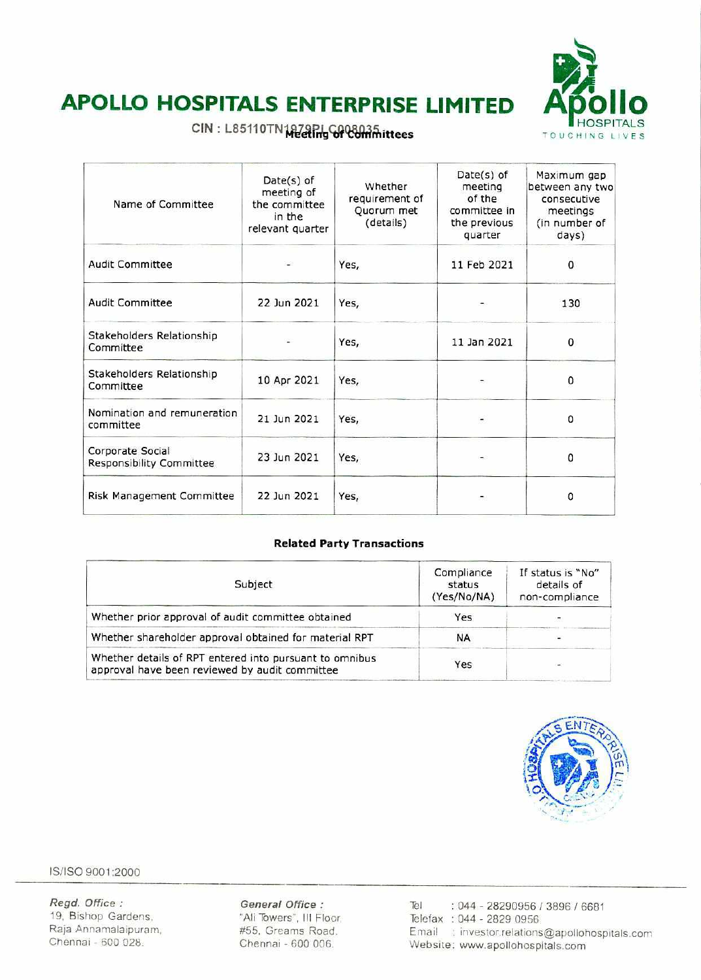

# **APOLLO HOSPITALS ENTERPRISE LIMITED Apollo**

### CIN: L85110TN1979PLG008035hittees

| Name of Committee                            | $Date(s)$ of<br>meeting of<br>the committee<br>in the<br>relevant quarter | Whether<br>requirement of<br>Quorum met<br>(details) | $Date(s)$ of<br>meeting<br>of the<br>committee in<br>the previous<br>quarter | Maximum gap<br>between any two<br>consecutive<br>meetings<br>(in number of<br>days) |
|----------------------------------------------|---------------------------------------------------------------------------|------------------------------------------------------|------------------------------------------------------------------------------|-------------------------------------------------------------------------------------|
| <b>Audit Committee</b>                       |                                                                           | Yes,                                                 | 11 Feb 2021                                                                  | 0                                                                                   |
| <b>Audit Committee</b>                       | 22 Jun 2021                                                               | Yes,                                                 |                                                                              | 130                                                                                 |
| Stakeholders Relationship<br>Committee       |                                                                           | Yes,                                                 | 11 Jan 2021                                                                  | 0                                                                                   |
| Stakeholders Relationship<br>Committee       | 10 Apr 2021                                                               | Yes,                                                 |                                                                              | 0                                                                                   |
| Nomination and remuneration<br>committee     | 21 Jun 2021                                                               | Yes,                                                 |                                                                              | 0                                                                                   |
| Corporate Social<br>Responsibility Committee | 23 Jun 2021                                                               | Yes,                                                 |                                                                              | 0                                                                                   |
| Risk Management Committee                    | 22 Jun 2021                                                               | Yes,                                                 | ۰.                                                                           | 0                                                                                   |

### **Related Party Transactions**

| Subject                                                                                                   | Compliance<br>status<br>(Yes/No/NA) | If status is "No"<br>details of<br>non-compliance |
|-----------------------------------------------------------------------------------------------------------|-------------------------------------|---------------------------------------------------|
| Whether prior approval of audit committee obtained                                                        | Yes                                 |                                                   |
| Whether shareholder approval obtained for material RPT                                                    | NA                                  |                                                   |
| Whether details of RPT entered into pursuant to omnibus<br>approval have been reviewed by audit committee | Yes                                 |                                                   |



IS/ISO 9001 :2000

*Regd. Office:* **General Office:** *Tel : 044 - 28290956 / 3896 / 6681*  19, Bishop Gardens, "All Towers', III Floor, Telefax : *044 - 2829 0956*  Raja Annamalaipuram, *#55.* Greams Road. Email : investor.relations©apollohospitals.com Website: www.apollohospitals.com